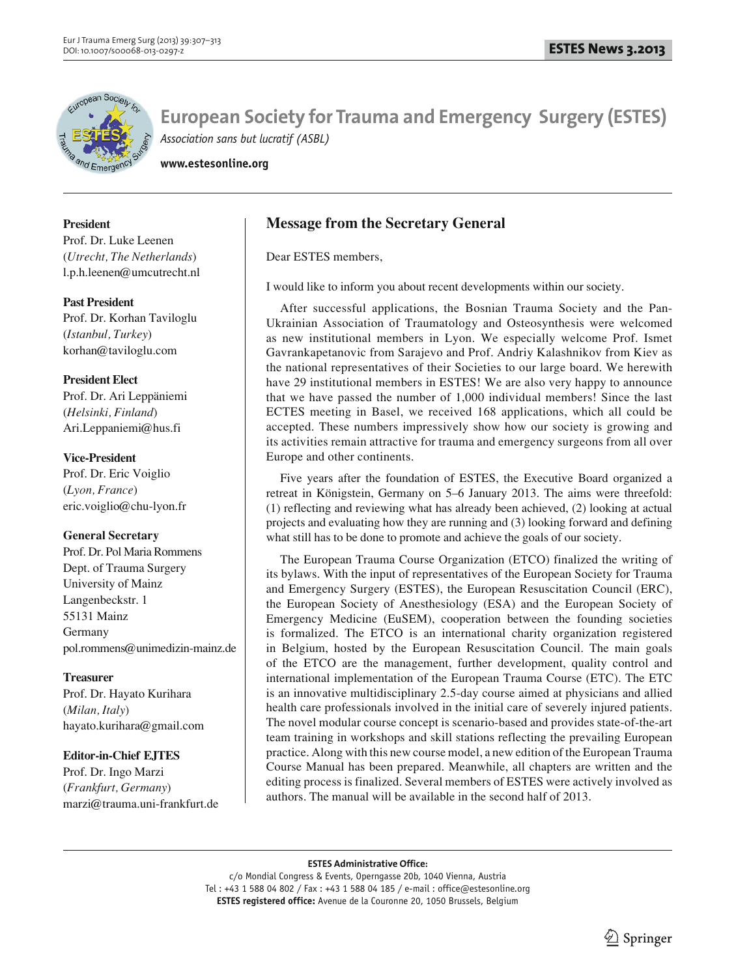

**www.estesonline.org**

# **President**

Prof. Dr. Luke Leenen (*Utrecht, The Netherlands*) l.p.h.leenen@umcutrecht.nl

# **Past President**

Prof. Dr. Korhan Taviloglu (*Istanbul, Turkey*) korhan@taviloglu.com

# **President Elect**

Prof. Dr. Ari Leppäniemi (*Helsinki, Finland*) Ari.Leppaniemi@hus.fi

# **Vice-President**

Prof. Dr. Eric Voiglio (*Lyon, France*) eric.voiglio@chu-lyon.fr

# **General Secretary**

Prof. Dr. Pol Maria Rommens Dept. of Trauma Surgery University of Mainz Langenbeckstr. 1 55131 Mainz Germany pol.rommens@unimedizin-mainz.de

# **Treasurer**

Prof. Dr. Hayato Kurihara (*Milan, Italy*) hayato.kurihara@gmail.com

# **Editor-in-Chief EJTES**

Prof. Dr. Ingo Marzi (*Frankfurt, Germany*) marzi@trauma.uni-frankfurt.de

# **Message from the Secretary General**

Dear ESTES members,

I would like to inform you about recent developments within our society.

After successful applications, the Bosnian Trauma Society and the Pan-Ukrainian Association of Traumatology and Osteosynthesis were welcomed as new institutional members in Lyon. We especially welcome Prof. Ismet Gavrankapetanovic from Sarajevo and Prof. Andriy Kalashnikov from Kiev as the national representatives of their Societies to our large board. We herewith have 29 institutional members in ESTES! We are also very happy to announce that we have passed the number of 1,000 individual members! Since the last ECTES meeting in Basel, we received 168 applications, which all could be accepted. These numbers impressively show how our society is growing and its activities remain attractive for trauma and emergency surgeons from all over Europe and other continents.

Five years after the foundation of ESTES, the Executive Board organized a retreat in Königstein, Germany on 5–6 January 2013. The aims were threefold: (1) reflecting and reviewing what has already been achieved, (2) looking at actual projects and evaluating how they are running and (3) looking forward and defining what still has to be done to promote and achieve the goals of our society.

The European Trauma Course Organization (ETCO) finalized the writing of its bylaws. With the input of representatives of the European Society for Trauma and Emergency Surgery (ESTES), the European Resuscitation Council (ERC), the European Society of Anesthesiology (ESA) and the European Society of Emergency Medicine (EuSEM), cooperation between the founding societies is formalized. The ETCO is an international charity organization registered in Belgium, hosted by the European Resuscitation Council. The main goals of the ETCO are the management, further development, quality control and international implementation of the European Trauma Course (ETC). The ETC is an innovative multidisciplinary 2.5-day course aimed at physicians and allied health care professionals involved in the initial care of severely injured patients. The novel modular course concept is scenario-based and provides state-of-the-art team training in workshops and skill stations reflecting the prevailing European practice. Along with this new course model, a new edition of the European Trauma Course Manual has been prepared. Meanwhile, all chapters are written and the editing process is finalized. Several members of ESTES were actively involved as authors. The manual will be available in the second half of 2013.

# **ESTES Administrative Office:**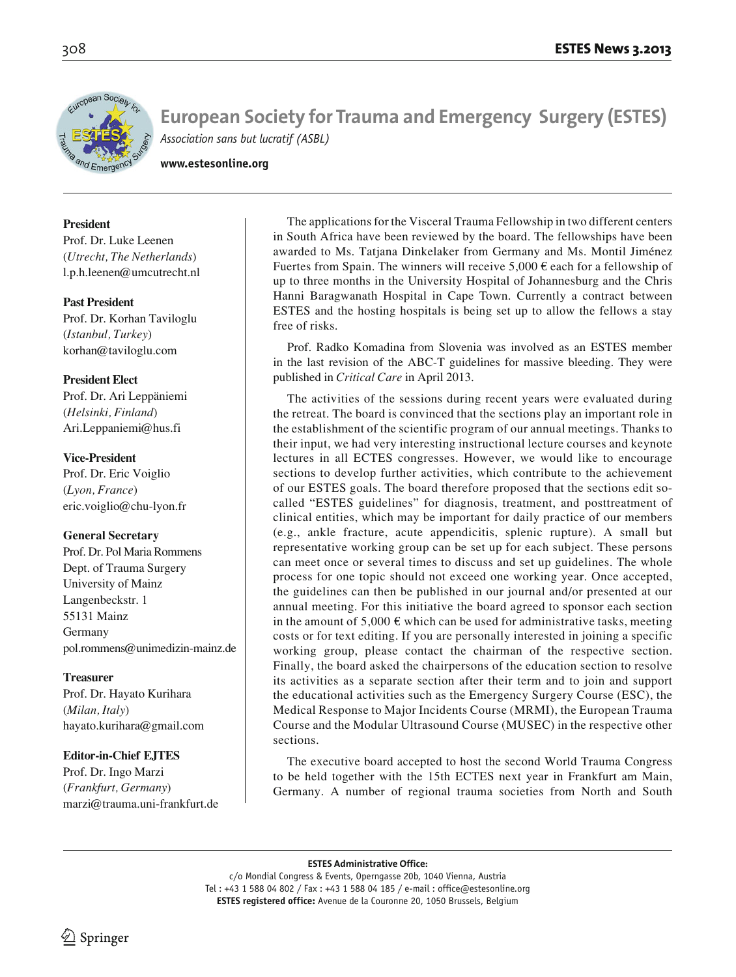

**www.estesonline.org**

# **President**

Prof. Dr. Luke Leenen (*Utrecht, The Netherlands*) l.p.h.leenen@umcutrecht.nl

# **Past President**

Prof. Dr. Korhan Taviloglu (*Istanbul, Turkey*) korhan@taviloglu.com

# **President Elect**

Prof. Dr. Ari Leppäniemi (*Helsinki, Finland*) Ari.Leppaniemi@hus.fi

# **Vice-President**

Prof. Dr. Eric Voiglio (*Lyon, France*) eric.voiglio@chu-lyon.fr

# **General Secretary**

Prof. Dr. Pol Maria Rommens Dept. of Trauma Surgery University of Mainz Langenbeckstr. 1 55131 Mainz Germany pol.rommens@unimedizin-mainz.de

# **Treasurer**

Prof. Dr. Hayato Kurihara (*Milan, Italy*) hayato.kurihara@gmail.com

# **Editor-in-Chief EJTES**

Prof. Dr. Ingo Marzi (*Frankfurt, Germany*) marzi@trauma.uni-frankfurt.de

The applications for the Visceral Trauma Fellowship in two different centers in South Africa have been reviewed by the board. The fellowships have been awarded to Ms. Tatjana Dinkelaker from Germany and Ms. Montil Jiménez Fuertes from Spain. The winners will receive 5,000  $\epsilon$  each for a fellowship of up to three months in the University Hospital of Johannesburg and the Chris Hanni Baragwanath Hospital in Cape Town. Currently a contract between ESTES and the hosting hospitals is being set up to allow the fellows a stay free of risks.

Prof. Radko Komadina from Slovenia was involved as an ESTES member in the last revision of the ABC-T guidelines for massive bleeding. They were published in *Critical Care* in April 2013.

The activities of the sessions during recent years were evaluated during the retreat. The board is convinced that the sections play an important role in the establishment of the scientific program of our annual meetings. Thanks to their input, we had very interesting instructional lecture courses and keynote lectures in all ECTES congresses. However, we would like to encourage sections to develop further activities, which contribute to the achievement of our ESTES goals. The board therefore proposed that the sections edit socalled "ESTES guidelines" for diagnosis, treatment, and posttreatment of clinical entities, which may be important for daily practice of our members (e.g., ankle fracture, acute appendicitis, splenic rupture). A small but representative working group can be set up for each subject. These persons can meet once or several times to discuss and set up guidelines. The whole process for one topic should not exceed one working year. Once accepted, the guidelines can then be published in our journal and/or presented at our annual meeting. For this initiative the board agreed to sponsor each section in the amount of  $5,000 \in \mathbb{R}$  which can be used for administrative tasks, meeting costs or for text editing. If you are personally interested in joining a specific working group, please contact the chairman of the respective section. Finally, the board asked the chairpersons of the education section to resolve its activities as a separate section after their term and to join and support the educational activities such as the Emergency Surgery Course (ESC), the Medical Response to Major Incidents Course (MRMI), the European Trauma Course and the Modular Ultrasound Course (MUSEC) in the respective other sections.

The executive board accepted to host the second World Trauma Congress to be held together with the 15th ECTES next year in Frankfurt am Main, Germany. A number of regional trauma societies from North and South

**ESTES Administrative Office:**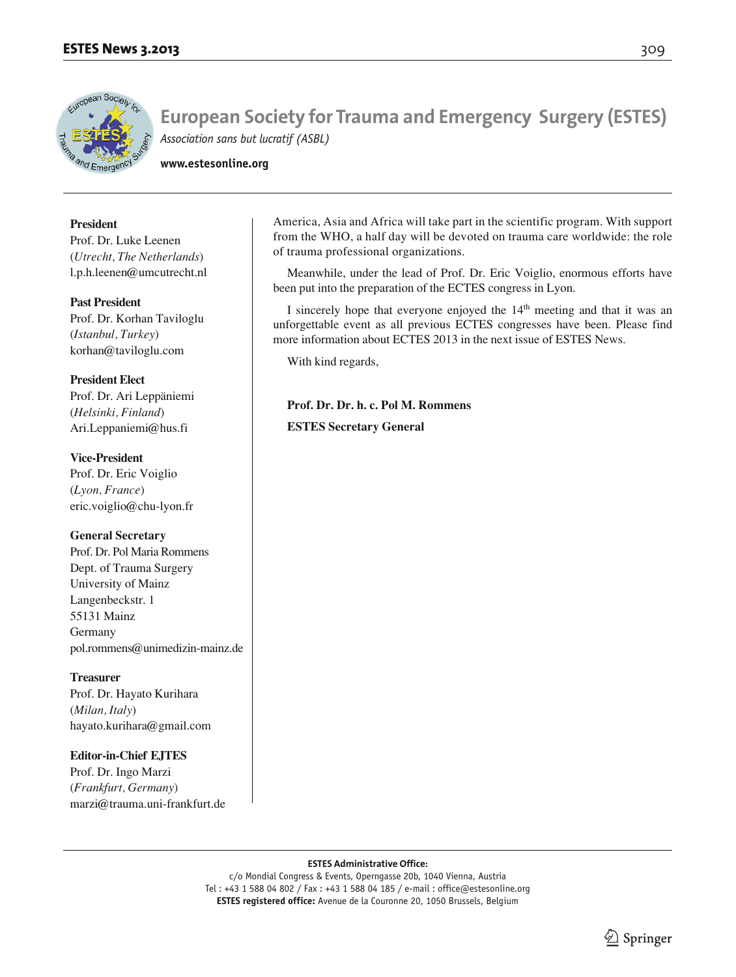

**www.estesonline.org**

#### **President**

Prof. Dr. Luke Leenen (*Utrecht, The Netherlands*) l.p.h.leenen@umcutrecht.nl

#### **Past President**

Prof. Dr. Korhan Taviloglu (*Istanbul, Turkey*) korhan@taviloglu.com

#### **President Elect**

Prof. Dr. Ari Leppäniemi (*Helsinki, Finland*) Ari.Leppaniemi@hus.fi

#### **Vice-President** Prof. Dr. Eric Voiglio

(*Lyon, France*) eric.voiglio@chu-lyon.fr

#### **General Secretary**

Prof. Dr. Pol Maria Rommens Dept. of Trauma Surgery University of Mainz Langenbeckstr. 1 55131 Mainz Germany pol.rommens@unimedizin-mainz.de

#### **Treasurer**

Prof. Dr. Hayato Kurihara (*Milan, Italy*) hayato.kurihara@gmail.com

# **Editor-in-Chief EJTES**

Prof. Dr. Ingo Marzi (*Frankfurt, Germany*) marzi@trauma.uni-frankfurt.de America, Asia and Africa will take part in the scientific program. With support from the WHO, a half day will be devoted on trauma care worldwide: the role of trauma professional organizations.

Meanwhile, under the lead of Prof. Dr. Eric Voiglio, enormous efforts have been put into the preparation of the ECTES congress in Lyon.

I sincerely hope that everyone enjoyed the  $14<sup>th</sup>$  meeting and that it was an unforgettable event as all previous ECTES congresses have been. Please find more information about ECTES 2013 in the next issue of ESTES News.

With kind regards,

# **Prof. Dr. Dr. h. c. Pol M. Rommens**

**ESTES Secretary General**

#### **ESTES Administrative Office:**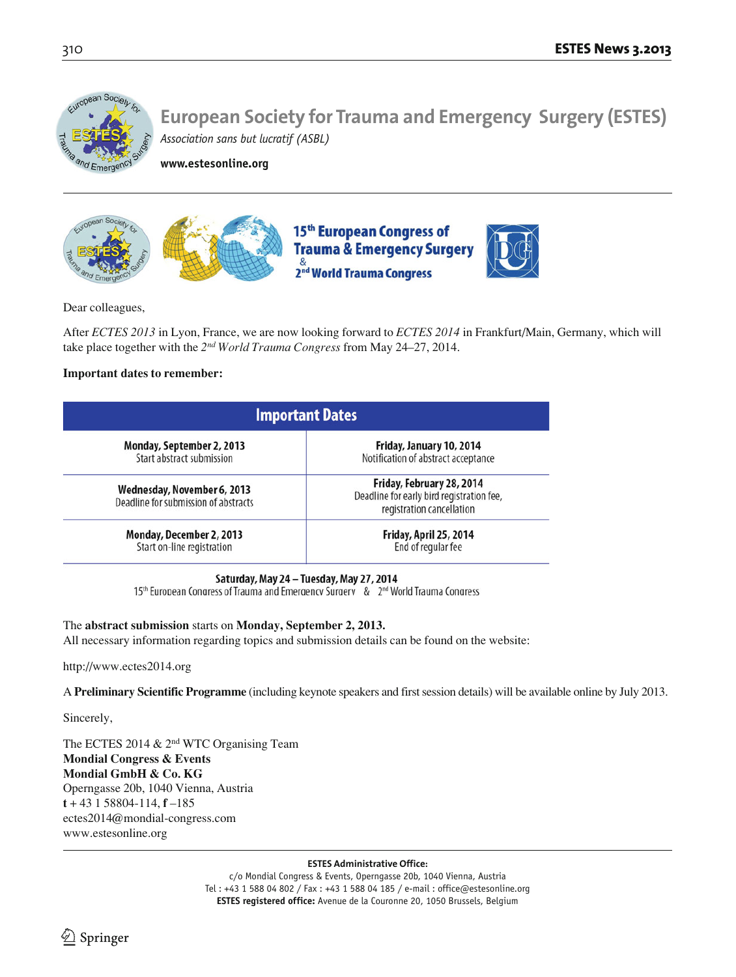

**www.estesonline.org**



Dear colleagues,

After *ECTES 2013* in Lyon, France, we are now looking forward to *ECTES 2014* in Frankfurt/Main, Germany, which will take place together with the *2nd World Trauma Congress* from May 24–27, 2014.

# **Important dates to remember:**

| <b>Important Dates</b>                                              |                                                                                                     |
|---------------------------------------------------------------------|-----------------------------------------------------------------------------------------------------|
| Monday, September 2, 2013                                           | Friday, January 10, 2014                                                                            |
| Start abstract submission                                           | Notification of abstract acceptance                                                                 |
| Wednesday, November 6, 2013<br>Deadline for submission of abstracts | Friday, February 28, 2014<br>Deadline for early bird registration fee,<br>registration cancellation |
| Monday, December 2, 2013                                            | Friday, April 25, 2014                                                                              |
| Start on-line registration                                          | End of regular fee                                                                                  |

# Saturday, May 24 - Tuesday, May 27, 2014

15th European Congress of Trauma and Emergency Surgery & 2nd World Trauma Congress

# The **abstract submission** starts on **Monday, September 2, 2013.**

All necessary information regarding topics and submission details can be found on the website:

http://www.ectes2014.org

A **Preliminary Scientific Programme** (including keynote speakers and first session details) will be available online by July 2013.

Sincerely,

The ECTES 2014 & 2nd WTC Organising Team **Mondial Congress & Events Mondial GmbH & Co. KG** Operngasse 20b, 1040 Vienna, Austria  $t + 43$  1 58804-114,  $f - 185$ ectes2014@mondial-congress.com www.estesonline.org

#### **ESTES Administrative Office:**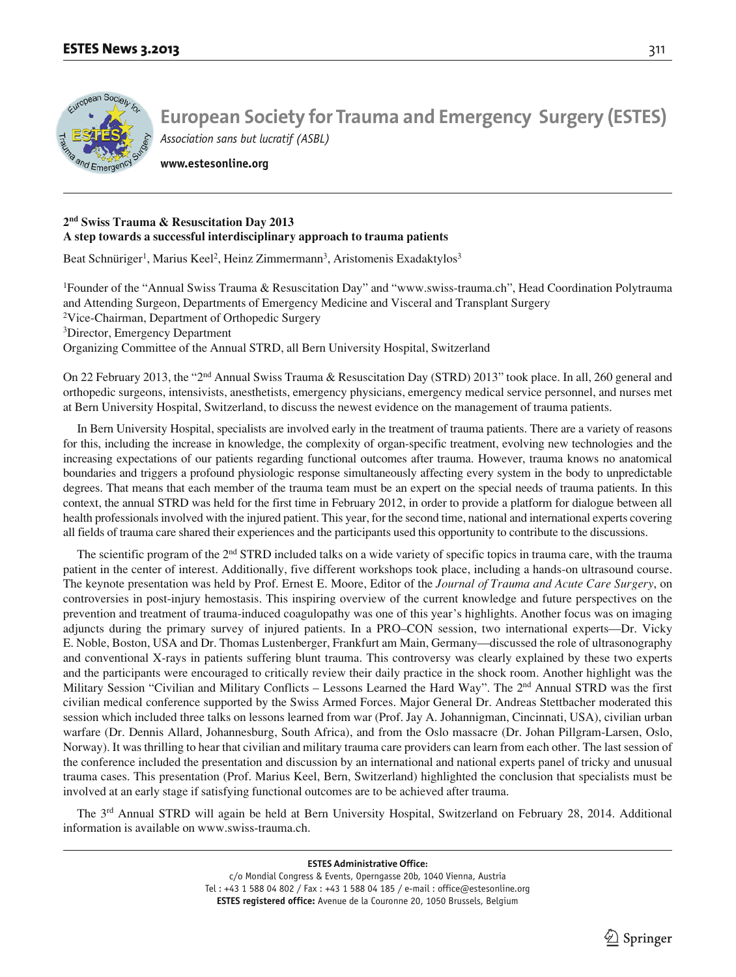

**www.estesonline.org**

#### **2nd Swiss Trauma & Resuscitation Day 2013 A step towards a successful interdisciplinary approach to trauma patients**

Beat Schnüriger<sup>1</sup>, Marius Keel<sup>2</sup>, Heinz Zimmermann<sup>3</sup>, Aristomenis Exadaktylos<sup>3</sup>

1 Founder of the "Annual Swiss Trauma & Resuscitation Day" and "www.swiss-trauma.ch", Head Coordination Polytrauma and Attending Surgeon, Departments of Emergency Medicine and Visceral and Transplant Surgery

<sup>2</sup>Vice-Chairman, Department of Orthopedic Surgery

3 Director, Emergency Department

Organizing Committee of the Annual STRD, all Bern University Hospital, Switzerland

On 22 February 2013, the "2nd Annual Swiss Trauma & Resuscitation Day (STRD) 2013" took place. In all, 260 general and orthopedic surgeons, intensivists, anesthetists, emergency physicians, emergency medical service personnel, and nurses met at Bern University Hospital, Switzerland, to discuss the newest evidence on the management of trauma patients.

In Bern University Hospital, specialists are involved early in the treatment of trauma patients. There are a variety of reasons for this, including the increase in knowledge, the complexity of organ-specific treatment, evolving new technologies and the increasing expectations of our patients regarding functional outcomes after trauma. However, trauma knows no anatomical boundaries and triggers a profound physiologic response simultaneously affecting every system in the body to unpredictable degrees. That means that each member of the trauma team must be an expert on the special needs of trauma patients. In this context, the annual STRD was held for the first time in February 2012, in order to provide a platform for dialogue between all health professionals involved with the injured patient. This year, for the second time, national and international experts covering all fields of trauma care shared their experiences and the participants used this opportunity to contribute to the discussions.

The scientific program of the 2nd STRD included talks on a wide variety of specific topics in trauma care, with the trauma patient in the center of interest. Additionally, five different workshops took place, including a hands-on ultrasound course. The keynote presentation was held by Prof. Ernest E. Moore, Editor of the *Journal of Trauma and Acute Care Surgery*, on controversies in post-injury hemostasis. This inspiring overview of the current knowledge and future perspectives on the prevention and treatment of trauma-induced coagulopathy was one of this year's highlights. Another focus was on imaging adjuncts during the primary survey of injured patients. In a PRO–CON session, two international experts—Dr. Vicky E. Noble, Boston, USA and Dr. Thomas Lustenberger, Frankfurt am Main, Germany—discussed the role of ultrasonography and conventional X-rays in patients suffering blunt trauma. This controversy was clearly explained by these two experts and the participants were encouraged to critically review their daily practice in the shock room. Another highlight was the Military Session "Civilian and Military Conflicts – Lessons Learned the Hard Way". The 2<sup>nd</sup> Annual STRD was the first civilian medical conference supported by the Swiss Armed Forces. Major General Dr. Andreas Stettbacher moderated this session which included three talks on lessons learned from war (Prof. Jay A. Johannigman, Cincinnati, USA), civilian urban warfare (Dr. Dennis Allard, Johannesburg, South Africa), and from the Oslo massacre (Dr. Johan Pillgram-Larsen, Oslo, Norway). It was thrilling to hear that civilian and military trauma care providers can learn from each other. The last session of the conference included the presentation and discussion by an international and national experts panel of tricky and unusual trauma cases. This presentation (Prof. Marius Keel, Bern, Switzerland) highlighted the conclusion that specialists must be involved at an early stage if satisfying functional outcomes are to be achieved after trauma.

The 3rd Annual STRD will again be held at Bern University Hospital, Switzerland on February 28, 2014. Additional information is available on www.swiss-trauma.ch.

**ESTES Administrative Office:**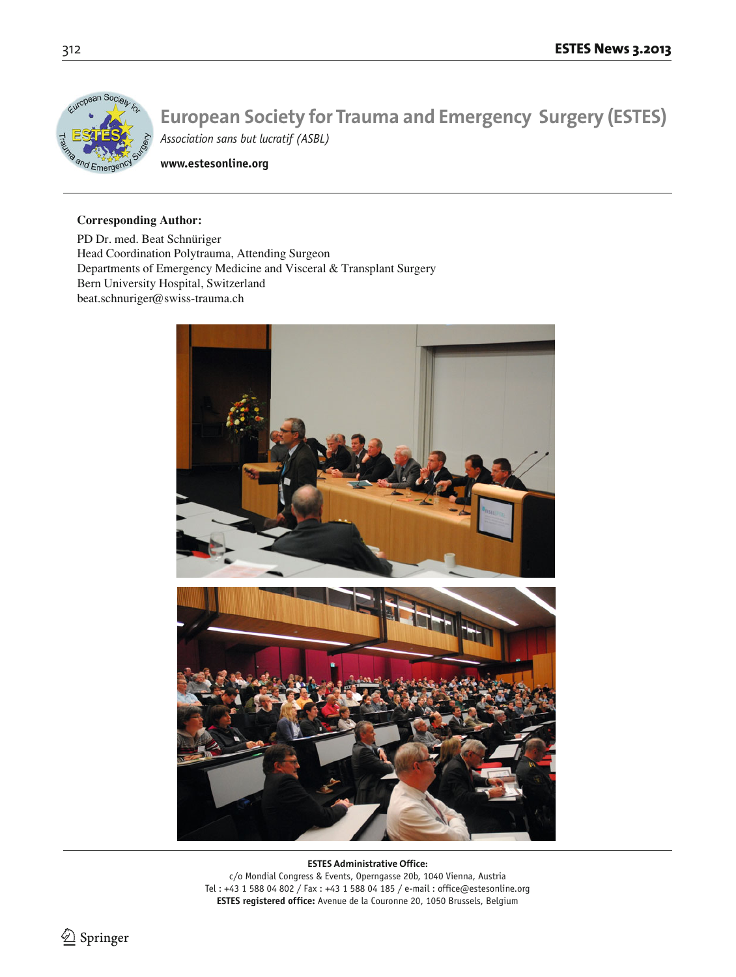

**www.estesonline.org**

# **Corresponding Author:**

PD Dr. med. Beat Schnüriger Head Coordination Polytrauma, Attending Surgeon Departments of Emergency Medicine and Visceral & Transplant Surgery Bern University Hospital, Switzerland beat.schnuriger@swiss-trauma.ch